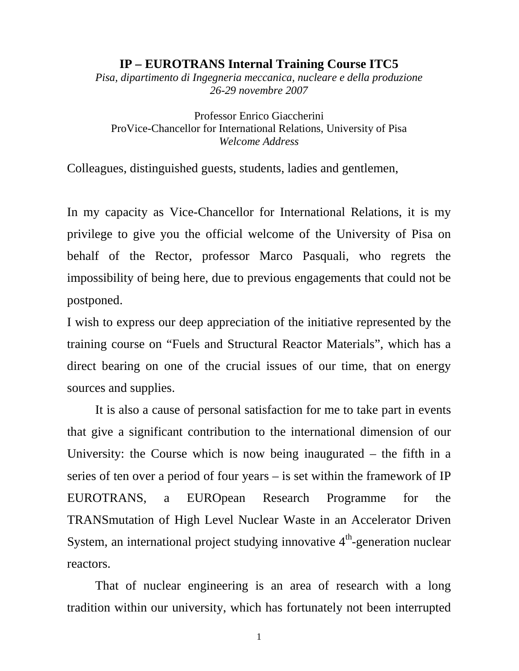## **IP – EUROTRANS Internal Training Course ITC5**

*Pisa, dipartimento di Ingegneria meccanica, nucleare e della produzione 26-29 novembre 2007* 

Professor Enrico Giaccherini ProVice-Chancellor for International Relations, University of Pisa *Welcome Address* 

Colleagues, distinguished guests, students, ladies and gentlemen,

In my capacity as Vice-Chancellor for International Relations, it is my privilege to give you the official welcome of the University of Pisa on behalf of the Rector, professor Marco Pasquali, who regrets the impossibility of being here, due to previous engagements that could not be postponed.

I wish to express our deep appreciation of the initiative represented by the training course on "Fuels and Structural Reactor Materials", which has a direct bearing on one of the crucial issues of our time, that on energy sources and supplies.

It is also a cause of personal satisfaction for me to take part in events that give a significant contribution to the international dimension of our University: the Course which is now being inaugurated – the fifth in a series of ten over a period of four years – is set within the framework of IP EUROTRANS, a EUROpean Research Programme for the TRANSmutation of High Level Nuclear Waste in an Accelerator Driven System, an international project studying innovative  $4<sup>th</sup>$ -generation nuclear reactors.

That of nuclear engineering is an area of research with a long tradition within our university, which has fortunately not been interrupted

1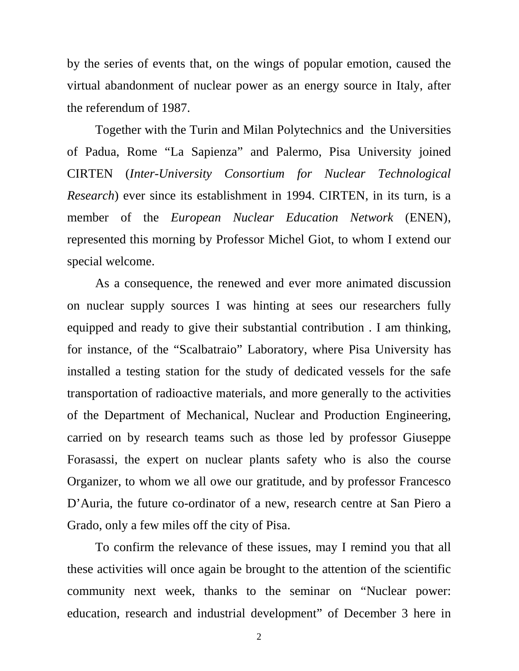by the series of events that, on the wings of popular emotion, caused the virtual abandonment of nuclear power as an energy source in Italy, after the referendum of 1987.

Together with the Turin and Milan Polytechnics and the Universities of Padua, Rome "La Sapienza" and Palermo, Pisa University joined CIRTEN (*Inter-University Consortium for Nuclear Technological Research*) ever since its establishment in 1994. CIRTEN, in its turn, is a member of the *European Nuclear Education Network* (ENEN), represented this morning by Professor Michel Giot, to whom I extend our special welcome.

As a consequence, the renewed and ever more animated discussion on nuclear supply sources I was hinting at sees our researchers fully equipped and ready to give their substantial contribution . I am thinking, for instance, of the "Scalbatraio" Laboratory, where Pisa University has installed a testing station for the study of dedicated vessels for the safe transportation of radioactive materials, and more generally to the activities of the Department of Mechanical, Nuclear and Production Engineering, carried on by research teams such as those led by professor Giuseppe Forasassi, the expert on nuclear plants safety who is also the course Organizer, to whom we all owe our gratitude, and by professor Francesco D'Auria, the future co-ordinator of a new, research centre at San Piero a Grado, only a few miles off the city of Pisa.

To confirm the relevance of these issues, may I remind you that all these activities will once again be brought to the attention of the scientific community next week, thanks to the seminar on "Nuclear power: education, research and industrial development" of December 3 here in